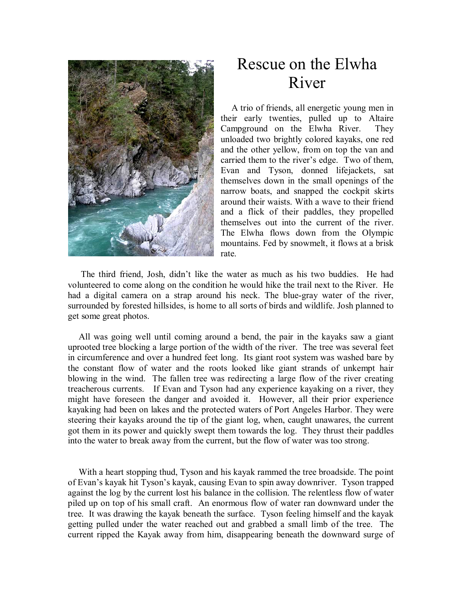

## Rescue on the Elwha River

A trio of friends, all energetic young men in their early twenties, pulled up to Altaire Campground on the Elwha River. They unloaded two brightly colored kayaks, one red and the other yellow, from on top the van and carried them to the river's edge. Two of them, Evan and Tyson, donned lifejackets, sat themselves down in the small openings of the narrow boats, and snapped the cockpit skirts around their waists. With a wave to their friend and a flick of their paddles, they propelled themselves out into the current of the river. The Elwha flows down from the Olympic mountains. Fed by snowmelt, it flows at a brisk rate.

 The third friend, Josh, didn't like the water as much as his two buddies. He had volunteered to come along on the condition he would hike the trail next to the River. He had a digital camera on a strap around his neck. The blue-gray water of the river, surrounded by forested hillsides, is home to all sorts of birds and wildlife. Josh planned to get some great photos.

All was going well until coming around a bend, the pair in the kayaks saw a giant uprooted tree blocking a large portion of the width of the river. The tree was several feet in circumference and over a hundred feet long. Its giant root system was washed bare by the constant flow of water and the roots looked like giant strands of unkempt hair blowing in the wind. The fallen tree was redirecting a large flow of the river creating treacherous currents. If Evan and Tyson had any experience kayaking on a river, they might have foreseen the danger and avoided it. However, all their prior experience kayaking had been on lakes and the protected waters of Port Angeles Harbor. They were steering their kayaks around the tip of the giant log, when, caught unawares, the current got them in its power and quickly swept them towards the log. They thrust their paddles into the water to break away from the current, but the flow of water was too strong.

With a heart stopping thud, Tyson and his kayak rammed the tree broadside. The point of Evan's kayak hit Tyson's kayak, causing Evan to spin away downriver. Tyson trapped against the log by the current lost his balance in the collision. The relentless flow of water piled up on top of his small craft. An enormous flow of water ran downward under the tree. It was drawing the kayak beneath the surface. Tyson feeling himself and the kayak getting pulled under the water reached out and grabbed a small limb of the tree. The current ripped the Kayak away from him, disappearing beneath the downward surge of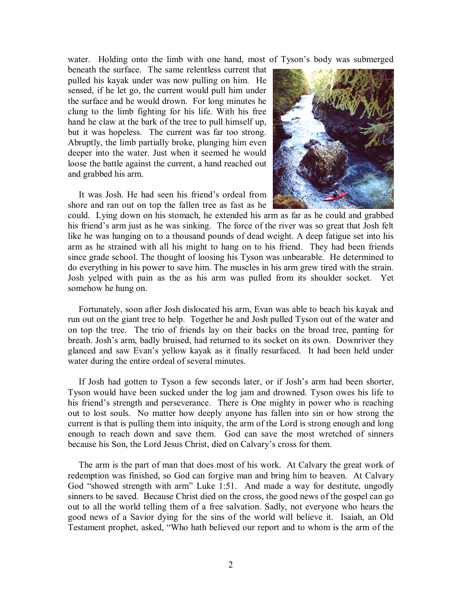water. Holding onto the limb with one hand, most of Tyson's body was submerged

beneath the surface. The same relentless current that pulled his kayak under was now pulling on him. He sensed, if he let go, the current would pull him under the surface and he would drown. For long minutes he clung to the limb fighting for his life. With his free hand he claw at the bark of the tree to pull himself up, but it was hopeless. The current was far too strong. Abruptly, the limb partially broke, plunging him even deeper into the water. Just when it seemed he would loose the battle against the current, a hand reached out and grabbed his arm.

It was Josh. He had seen his friend's ordeal from shore and ran out on top the fallen tree as fast as he



could. Lying down on his stomach, he extended his arm as far as he could and grabbed his friend's arm just as he was sinking. The force of the river was so great that Josh felt like he was hanging on to a thousand pounds of dead weight. A deep fatigue set into his arm as he strained with all his might to hang on to his friend. They had been friends since grade school. The thought of loosing his Tyson was unbearable. He determined to do everything in his power to save him. The muscles in his arm grew tired with the strain. Josh yelped with pain as the as his arm was pulled from its shoulder socket. Yet somehow he hung on.

Fortunately, soon after Josh dislocated his arm, Evan was able to beach his kayak and run out on the giant tree to help. Together he and Josh pulled Tyson out of the water and on top the tree. The trio of friends lay on their backs on the broad tree, panting for breath. Josh's arm, badly bruised, had returned to its socket on its own. Downriver they glanced and saw Evan's yellow kayak as it finally resurfaced. It had been held under water during the entire ordeal of several minutes.

If Josh had gotten to Tyson a few seconds later, or if Josh's arm had been shorter, Tyson would have been sucked under the log jam and drowned. Tyson owes his life to his friend's strength and perseverance. There is One mighty in power who is reaching out to lost souls. No matter how deeply anyone has fallen into sin or how strong the current is that is pulling them into iniquity, the arm of the Lord is strong enough and long enough to reach down and save them. God can save the most wretched of sinners because his Son, the Lord Jesus Christ, died on Calvary's cross for them.

The arm is the part of man that does most of his work. At Calvary the great work of redemption was finished, so God can forgive man and bring him to heaven. At Calvary God "showed strength with arm" Luke 1:51. And made a way for destitute, ungodly sinners to be saved. Because Christ died on the cross, the good news of the gospel can go out to all the world telling them of a free salvation. Sadly, not everyone who hears the good news of a Savior dying for the sins of the world will believe it. Isaiah, an Old Testament prophet, asked, "Who hath believed our report and to whom is the arm of the